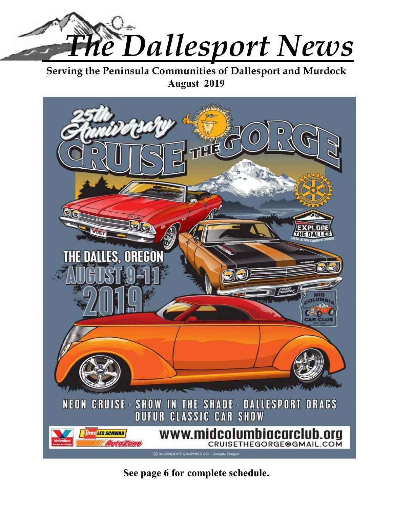

**Serving the Peninsula Communities of Dallesport and Murdock August 2019** 



# **See page 6 for complete schedule.**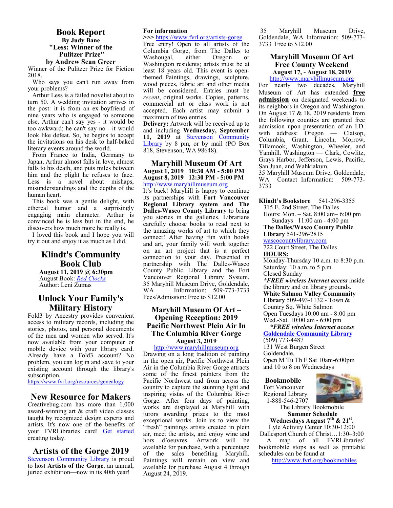#### **Book Report By Judy Bane "Less: Winner of the Pulitzer Prize" by Andrew Sean Greer**

Winner of the Pulitzer Prize for Fiction 2018.

Who says you can't run away from your problems?

Arthur Less is a failed novelist about to turn 50. A wedding invitation arrives in the post: it is from an ex-boyfriend of nine years who is engaged to someone else. Arthur can't say yes - it would be too awkward; he can't say no - it would look like defeat. So, he begins to accept the invitations on his desk to half-baked literary events around the world.

From France to India, Germany to Japan, Arthur almost falls in love, almost falls to his death, and puts miles between him and the plight he refuses to face. Less is a novel about mishaps, misunderstandings and the depths of the human heart.

This book was a gentle delight, with ethereal humor and a surprisingly engaging main character. Arthur is convinced he is less but in the end, he discovers how much more he really is.

I loved this book and I hope you will try it out and enjoy it as much as I did.

#### **Klindt's Community Book Club**

**August 11, 2019 @ 6:30pm**  August Book: *Red Clocks* Author: Leni Zumas

#### **Unlock Your Family's Military History**

Fold3 by Ancestry provides convenient access to military records, including the stories, photos, and personal documents of the men and women who served. It's now available from your computer or mobile device with your library card. Already have a Fold3 account? No problem, you can log in and save to your existing account through the library's subscription.

https://www.fvrl.org/resources/genealogy

#### **New Resource for Makers**

Creativebug.com has more than 1,000 award-winning art & craft video classes taught by recognized design experts and artists. It's now one of the benefits of your FVRLibraries card! Get started creating today.

#### **Artists of the Gorge 2019**

Stevenson Community Library is proud to host **Artists of the Gorge**, an annual, juried exhibition—now in its 40th year!

#### **For information**

**>>>** https://www.fvrl.org/artists-gorge

Free entry! Open to all artists of the Columbia Gorge, from The Dalles to Washougal, either Oregon or Washington residents; artists must be at least 18 years old. This event is openthemed. Paintings, drawings, sculpture, wood pieces, fabric art and other media will be considered. Entries must be *recent*, original works. Copies, patterns, commercial art or class work is not accepted. Each artist may submit a maximum of two entries.

**Delivery:** Artwork will be received up to and including **Wednesday, September 11, 2019** at Stevenson Community Library by 8 pm, or by mail (PO Box 818, Stevenson, WA 98648).

#### **Maryhill Museum Of Art August 1, 2019 10:30 AM - 5:00 PM August 8, 2019 12:30 PM - 5:00 PM**  http://www.maryhillmuseum.org

It's back! Maryhill is happy to continue its partnerships with **Fort Vancouver Regional Library system and The Dalles-Wasco County Library** to bring you stories in the galleries. Librarians carefully choose books to read next to the amazing works of art to which they connect! After having fun with books and art, your family will work together on an art project that is a perfect connection to your day. Presented in partnership with The Dalles-Wasco County Public Library and the Fort Vancouver Regional Library System. 35 Maryhill Museum Drive, Goldendale, Information: 509-773-3733 Fees/Admission: Free to \$12.00

#### **Maryhill Museum Of Art – Opening Reception: 2019 Pacific Northwest Plein Air In The Columbia River Gorge August 3, 2019**

http://www.maryhillmuseum.org Drawing on a long tradition of painting in the open air, Pacific Northwest Plein Air in the Columbia River Gorge attracts some of the finest painters from the Pacific Northwest and from across the country to capture the stunning light and inspiring vistas of the Columbia River Gorge. After four days of painting, works are displayed at Maryhill with jurors awarding prizes to the most exceptional works. Join us to view the "fresh" paintings artists created in plein air, meet the artists, and enjoy wine and hors d'oeuvres. Artwork will be available for purchase, with a percentage of the sales benefiting Maryhill. Paintings will remain on view and available for purchase August 4 through August 24, 2019.

 35 Maryhill Museum Drive, Goldendale, WA Information: 509-773- 3733 Free to \$12.00

#### **Maryhill Museum Of Art Free County Weekend August 17, - August 18, 2019**

http://www.maryhillmuseum.org

For nearly two decades, Maryhill Museum of Art has extended **free admission** on designated weekends to its neighbors in Oregon and Washington. On August 17 & 18, 2019 residents from the following counties are granted free admission upon presentation of an I.D. with address: Oregon — Clatsop, Columbia, Grant, Lincoln, Morrow, Tillamook, Washington, Wheeler, and Yamhill. Washington — Clark, Cowlitz, Grays Harbor, Jefferson, Lewis, Pacific, San Juan, and Wahkiakum.

35 Maryhill Museum Drive, Goldendale, WA Contact Information: 509-773- 3733

**Klindt's Bookstore** 541-296-3355 315 E. 2nd Street, The Dalles Hours: Mon. – Sat. 8:00 am– 6:00 pm Sundays 11:00 am - 4:00 pm

**The Dalles/Wasco County Public Library** 541-296-2815

wascocountylibrary.com 722 Court Street, The Dalles **HOURS:** 

Monday-Thursday 10 a.m. to 8:30 p.m. Saturday: 10 a.m. to 5 p.m. Closed Sunday

*\*FREE wireless Internet access* inside the library and on library grounds. **White Salmon Valley Community Library** 509-493-1132 - Town & Country Sq. White Salmon Open Tuesdays 10:00 am - 8:00 pm Wed.-Sat. 10:00 am - 6:00 pm

 *\*FREE wireless Internet access*  **Goldendale Community Library**  (509) 773-4487 131 West Burgen Street Goldendale, Open M Tu Th F Sat 10am-6:00pm and 10 to 8 on Wednesdays

**Bookmobile**  Fort Vancouver Regional Library 1-888-546-2707



The Library Bookmobile **Summer Schedule** 

**Wednesdays August 7th & 21st .**  Lyle Activity Center 10:30-12:00 Dallesport Church of Christ…1:30–3:00 A map of all FVRLibraries' bookmobile stops as well as printable schedules can be found at

http://www.fvrl.org/bookmobiles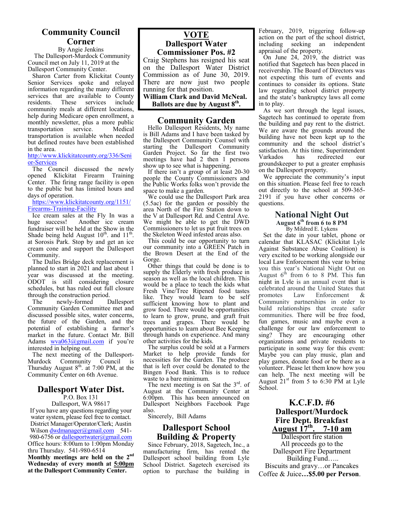#### **Community Council Corner**

By Angie Jenkins The Dallesport-Murdock Community Council met on July 11, 2019 at the Dallesport Community Center.

Sharon Carter from Klickitat County Senior Services spoke and relayed information regarding the many different services that are available to County<br>residents. These services include These services community meals at different locations, help during Medicare open enrollment, a monthly newsletter, plus a more public<br>transportation service. Medical transportation service. Medical transportation is available when needed but defined routes have been established in the area.

http://www.klickitatcounty.org/336/Seni or-Services

The Council discussed the newly opened Klickitat Firearm Training Center. The firing range facility is open to the public but has limited hours and days of operation.

https://www.klickitatcounty.org/1151/ Firearms-Training-Facility

Ice cream sales at the Fly In was a<br>huge success! Another ice cream Another ice cream fundraiser will be held at the Show in the Shade being held August  $10^{th}$ . and  $11^{th}$ . at Sorosis Park. Stop by and get an ice cream cone and support the Dallesport Community.

The Dalles Bridge deck replacement is planned to start in 2021 and last about 1 year was discussed at the meeting. ODOT is still considering closure schedules, but has ruled out full closure through the construction period.

The newly-formed Dallesport Community Garden Committee met and discussed possible sites, water concerns, the future of the Garden, and the potential of establishing a farmer's market in the future. Contact Mr. Bill Adams wva063@gmail.com if you're interested in helping out.

The next meeting of the Dallesport-Murdock Community Council is Thursday August  $8^{th}$ . at 7:00 PM, at the Community Center on 6th Avenue.

#### **Dallesport Water Dist.**  P.O. Box 131

Dallesport, WA 98617 If you have any questions regarding your water system, please feel free to contact. District Manager/Operator/Clerk; Austin Wilson dwdmanager@gmail.com 541-980-6756 or dallesportwater@gmail.com Office hours: 8:00am to 1:00pm Monday thru Thursday. 541-980-6514 **Monthly meetings are held on the 2nd Wednesday of every month at 5:00pm at the Dallesport Community Center.** 

#### **VOTE Dallesport Water Commissioner Pos. #2**

Craig Stephens has resigned his seat on the Dallesport Water District Commission as of June 30, 2019. There are now just two people running for that position.

**William Clark and David McNeal. Ballots are due by August 8th .** 

#### **Community Garden**

Hello Dallesport Residents, My name is Bill Adams and I have been tasked by the Dallesport Community Counsel with starting the Dallesport Community Garden Project. So far the first two meetings have had 2 then 1 persons show up to see what is happening.

If there isn't a group of at least 20-30 people the County Commissioners and the Public Works folks won't provide the space to make a garden.

We could use the Dallesport Park area (5.5ac) for the garden or possibly the area North of the Fire Station down to the V at Dallesport Rd. and Central Ave. We might be able to get the DWD Commissioners to let us put fruit trees on the Skeleton Weed infested areas also.

This could be our opportunity to turn our community into a GREEN Patch in the Brown Desert at the End of the Gorge.

Other things that could be done is to supply the Elderly with fresh produce in season as well as the local children. This would be a place to teach the kids what Fresh Vine/Tree Ripened food tastes like. They would learn to be self sufficient knowing how to plant and grow food. There would be opportunities to learn to grow, prune, and graft fruit trees and grapes. There would be opportunities to learn about Bee Keeping through hands on experience. And many other activities for the kids.

The surplus could be sold at a Farmers Market to help provide funds for necessities for the Garden. The produce that is left over could be donated to the Bingen Food Bank. This is to reduce waste to a bare minimum.

The next meeting is on Sat the  $3<sup>rd</sup>$ . of August at the Community Center at 6:00pm. This has been announced on Dallesport Neighbors Facebook Page also.

Sincerely, Bill Adams

#### **Dallesport School Building & Property**

Since February, 2018, Sagetech, Inc., a manufacturing firm, has rented the Dallesport school building from Lyle School District. Sagetech exercised its option to purchase the building in February, 2019, triggering follow-up action on the part of the school district, including seeking an independent appraisal of the property.

On June 24, 2019, the district was notified that Sagetech has been placed in receivership. The Board of Directors was not expecting this turn of events and continues to consider its options. State law regarding school district property and the state's bankruptcy laws all come in to play.

As we sort through the legal issues, Sagetech has continued to operate from the building and pay rent to the district. We are aware the grounds around the building have not been kept up to the community and the school district's satisfaction. At this time, Superintendent Varkados has redirected our groundskeeper to put a greater emphasis on the Dallesport property.

We appreciate the community's input on this situation. Please feel free to reach out directly to the school at 509-365- 2191 if you have other concerns or questions.

#### **National Night Out August 6th from 6 to 8 PM**

By Mildred E. Lykens Set the date in your tablet, phone or calendar that KLASAC (Klickitat Lyle Against Substance Abuse Coalition) is very excited to be working alongside our local Law Enforcement this year to bring you this year's National Night Out on August  $6^{th}$  from 6 to 8 PM. This fun night in Lyle is an annual event that is celebrated around the United States that promotes Law Enforcement & Community partnerships in order to build relationships that create safer communities. There will be free food, fun games, music and maybe even a challenge for our law enforcement to sing? They are encouraging other organizations and private residents to participate in some way for this event: Maybe you can play music, plan and play games, donate food or be there as a volunteer. Please let them know how you can help. The next meeting will be August  $21<sup>st</sup>$  from 5 to 6:30 PM at Lyle School.

> **K.C.F.D. #6 Dallesport/Murdock Fire Dept. Breakfast August 17th. 7-10 am**

Dallesport fire station All proceeds go to the Dallesport Fire Department Building Fund….. Biscuits and gravy…or Pancakes Coffee & Juice**…\$5.00 per Person**.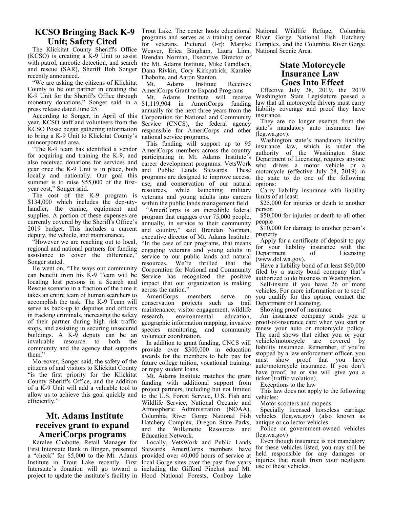#### **KCSO Bringing Back K-9 Unit; Safety Cited**

The Klickitat County Sheriff's Office (KCSO) is creating a K-9 Unit to assist with patrol, narcotic detection, and search and rescue (SAR), Sheriff Bob Songer recently announced.

"We are asking the citizens of Klickitat County to be our partner in creating the K-9 Unit for the Sheriff's Office through monetary donations," Songer said in a press release dated June 25.

According to Songer, in April of this year, KCSO staff and volunteers from the KCSO Posse began gathering information to bring a K-9 Unit to Klickitat County's unincorporated area.

"The K-9 team has identified a vendor for acquiring and training the K-9, and also received donations for services and gear once the K-9 Unit is in place, both locally and nationally. Our goal this summer is to raise \$55,000 of the firstyear cost," Songer said.

The cost of the K-9 program is \$134,000 which includes the dep-utyhandler, the canine, equipment and supplies. A portion of these expenses are currently covered by the Sheriff's Office's 2019 budget. This includes a current deputy, the vehicle, and maintenance.

"However we are reaching out to local, regional and national partners for funding assistance to cover the difference," Songer stated.

He went on, "The ways our community can benefit from his K-9 Team will be locating lost persons in a Search and Rescue scenario in a fraction of the time it takes an entire team of human searchers to accomplish the task. The K-9 Team will serve as back-up to deputies and officers in tracking criminals, increasing the safety of their partner during high risk traffic stops, and assisting in securing unsecured buildings. A K-9 deputy can be an invaluable resource to both the community and the agency that supports them."

Moreover, Songer said, the safety of the citizens of and visitors to Klickitat County "is the first priority for the Klickitat County Sheriff's Office, and the addition of a K-9 Unit will add a valuable tool to allow us to achieve this goal quickly and efficiently."

#### **Mt. Adams Institute receives grant to expand AmeriCorps programs**

Karalee Chabotte, Retail Manager for First Interstate Bank in Bingen, presented Stewards AmeriCorps members have a "check" for \$5,000 to the Mt. Adams Institute in Trout Lake recently. First Interstate's donation will go toward a including the Gifford Pinchot and Mt. project to update the institute's facility in Hood National Forests, Conboy Lake

Trout Lake. The center hosts educational National Wildlife Refuge, Columbia programs and serves as a training center River Gorge National Fish Hatchery for veterans. Pictured (l-r): Marijke Complex, and the Columbia River Gorge Weaver, Erica Bingham, Laura Linn, National Scenic Area. Brendan Norman, Executive Director of the Mt. Adams Institute, Mike Gundlach, Dana Rivkin, Cory Kirkpatrick, Karalee Chabotte, and Aaron Stanton.

Mt. Adams Institute Receives AmeriCorps Grant to Expand Programs

Mt. Adams Institute will receive \$1,119,904 in AmeriCorps funding annually for the next three years from the Corporation for National and Community Service (CNCS), the federal agency responsible for AmeriCorps and other national service programs.

This funding will support up to 95 AmeriCorps members across the country participating in Mt. Adams Institute's career development programs: VetsWork and Public Lands Stewards. These programs are designed to improve access, use, and conservation of our natural resources, while launching military veterans and young adults into careers within the public lands management field.

"AmeriCorps is an incredible federal program that engages over 75,000 people, annually, in service to their community and country," said Brendan Norman, executive director of Mt. Adams Institute. "In the case of our programs, that means engaging veterans and young adults in service to our public lands and natural resources. We're thrilled that the Corporation for National and Community Service has recognized the positive impact that our organization is making across the nation."

AmeriCorps members serve on conservation projects such as trail maintenance; visitor engagement, wildlife<br>research. environmental education. environmental geographic information mapping, invasive proof-of-insurance card when you start or species monitoring, and community volunteer coordination.

In addition to grant funding, CNCS will provide over \$300,000 in education awards for the members to help pay for future college tuition, vocational training, or repay student loans.

Mt. Adams Institute matches the grant funding with additional support from project partners, including but not limited to the U.S. Forest Service, U.S. Fish and Wildlife Service, National Oceanic and Atmospheric Administration (NOAA), Columbia River Gorge National Fish Hatchery Complex, Oregon State Parks, and the Willamette Resources and Education Network.

Locally, VetsWork and Public Lands provided over 40,000 hours of service at local Gorge sites over the past five years

#### **State Motorcycle Insurance Law Goes Into Effect**

Effective July 28, 2019, the 2019 Washington State Legislature passed a law that all motorcycle drivers must carry liability coverage and proof they have insurance.

They are no longer exempt from the state's mandatory auto insurance law (leg.wa.gov).

Washington state's mandatory liability insurance law, which is under the authority of the Washington State Department of Licensing, requires anyone who drives a motor vehicle or a motorcycle (effective July 28, 2019) in the state to do one of the following options:

Carry liability insurance with liability limits of at least:

\$25,000 for injuries or death to another person

\$50,000 for injuries or death to all other people

\$10,000 for damage to another person's property

Apply for a certificate of deposit to pay for your liability insurance with the<br>Department of Licensing Licensing (www.dol.wa.gov).

Have a liability bond of at least \$60,000 filed by a surety bond company that's authorized to do business in Washington.

Self-insure if you have 26 or more vehicles. For more information or to see if you qualify for this option, contact the Department of Licensing.

Showing proof of insurance

An insurance company sends you a renew your auto or motorcycle policy. The card shows that either you or your vehicle/motorcycle are covered by liability insurance. Remember, if you're stopped by a law enforcement officer, you must show proof that you have auto/motorcycle insurance. If you don't have proof, he or she will give you a ticket (traffic violation).

Exceptions to the law

This law does not apply to the following vehicles:

Motor scooters and mopeds

Specially licensed horseless carriage vehicles (leg.wa.gov) (also known as antique or collector vehicles

Police or government-owned vehicles (leg.wa.gov)

Even though insurance is not mandatory for these vehicles listed, you may still be held responsible for any damages or injuries that result from your negligent use of these vehicles.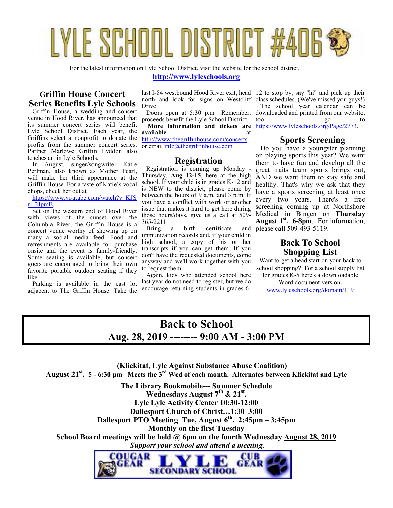# YLE SCHOOL DISTRICT #4

For the latest information on Lyle School District, visit the website for the school district.

**http://www.lyleschools.org**

#### **Griffin House Concert Series Benefits Lyle Schools**

Griffin House, a wedding and concert venue in Hood River, has announced that its summer concert series will benefit Lyle School District. Each year, the Griffins select a nonprofit to donate the profits from the summer concert series. Partner Marlowe Griffin Lyddon also teaches art in Lyle Schools.

In August, singer/songwriter Katie Perlman, also known as Mother Pearl, will make her third appearance at the Griffin House. For a taste of Katie's vocal chops, check her out at

https://www.youtube.com/watch?v=KJS ni-2JpmE.

Set on the western end of Hood River with views of the sunset over the Columbia River, the Griffin House is a concert venue worthy of showing up on many a social media feed. Food and refreshments are available for purchase onsite and the event is family-friendly. Some seating is available, but concert goers are encouraged to bring their own favorite portable outdoor seating if they like.

Parking is available in the east lot adjacent to The Griffin House. Take the Drive.

Doors open at 5:30 p.m. Remember, proceeds benefit the Lyle School District.

**More information and tickets are available** at http://www.thegriffinhouse.com/concerts

or email info@thegriffinhouse.com.

#### **Registration**

Registration is coming up Monday - Thursday, **Aug 12-15**, here at the high school. If your child is in grades K-12 and is NEW to the district, please come by between the hours of 9 a.m. and 3 p.m. If you have a conflict with work or another issue that makes it hard to get here during those hours/days, give us a call at 509- 365-2211.<br>Bring a

birth certificate and immunization records and, if your child in high school, a copy of his or her transcripts if you can get them. If you don't have the requested documents, come anyway and we'll work together with you to request them.

Again, kids who attended school here last year do not need to register, but we do encourage returning students in grades 6-

last I-84 westbound Hood River exit, head 12 to stop by, say "hi" and pick up their north and look for signs on Westcliff class schedules. (We've missed you guys!) The school year calendar can be downloaded and printed from our website, too - go to https://www.lyleschools.org/Page/2773.

#### **Sports Screening**

Do you have a youngster planning on playing sports this year? We want them to have fun and develop all the great traits team sports brings out, AND we want them to stay safe and healthy. That's why we ask that they have a sports screening at least once every two years. There's a free screening coming up at Northshore Medical in Bingen on **Thursday August 1st . 6-8pm**. For information, please call 509-493-5119.

#### **Back To School Shopping List**

Want to get a head start on your back to school shopping? For a school supply list

for grades K-5 here's a downloadable Word document version. www.lyleschools.org/domain/119

# **Back to School Aug. 28, 2019 -------- 9:00 AM - 3:00 PM**

 **(Klickitat, Lyle Against Substance Abuse Coalition) August 21st . 5 - 6:30 pm Meets the 3rd Wed of each month. Alternates between Klickitat and Lyle**

> **The Library Bookmobile--- Summer Schedule Wednesdays August 7th & 21st . Lyle Lyle Activity Center 10:30-12:00 Dallesport Church of Christ…1:30–3:00 Dallesport PTO Meeting Tue, August 6th. 2:45pm – 3:45pm Monthly on the first Tuesday**

**School Board meetings will be held @ 6pm on the fourth Wednesday August 28, 2019**

 *Support your school and attend a meeting.* 

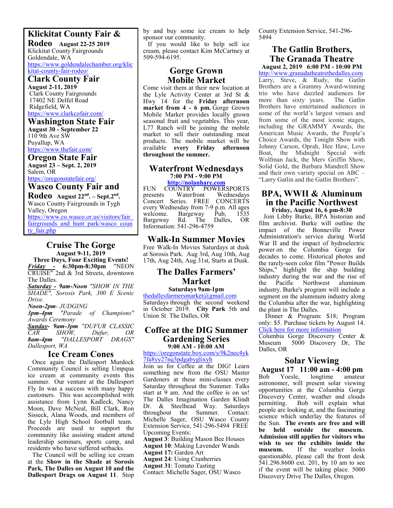#### **Klickitat County Fair &**

**Rodeo August 22-25 2019**  Klickitat County Fairgrounds Goldendale, WA https://www.goldendalechamber.org/klic kitat-county-fair-rodeo/

### **Clark County Fair**

**August 2-11, 2019**  Clark County Fairgrounds 17402 NE Delfel Road Ridgefield, WA https://www.clarkcofair.com/

#### **Washington State Fair**

**August 30 - September 22**   $110$  9th Ave SW Puyallup, WA https://www.thefair.com/

**Oregon State Fair** **August 23 – Sept. 2, 2019**  Salem, OR

https://oregonstatefair.org/ **Wasco County Fair and** 

**Rodeo August 22nd. – Sept.2nd .**  Wasco County Fairgrounds in Tygh Valley, Oregon https://www.co.wasco.or.us/visitors/fair\_ fairgrounds and hunt park/wasco coun

ty fair.php

#### **Cruise The Gorge August 9-11, 2019**

**Three Days, Four Exciting Events!**  *Friday* **- 6:30pm-8:30pm** "NEON CRUISE" 2nd & 3rd Streets, downtown The Dalles.

*Saturday - 9am-Noon "SHOW IN THE SHADE", Sorosis Park, 300 E Scenic Drive.* 

# *Noon-2pm- JUDGING*

*3pm-4pm "Parade of Champions" Awards Ceremony* 

*Sunday- 9am-3pm "DUFUR CLASSIC CAR SHOW, Dufur, OR 8am-4pm "DALLESPORT DRAGS" Dallesport, WA* 

#### **Ice Cream Cones**

Once again the Dallesport Murdock Community Council is selling Umpqua ice cream at community events this summer. Our venture at the Dallesport Fly In was a success with many happy customers. This was accomplished with assistance from Lynn Kadleck, Nancy Moon, Dave McNeal, Bill Clark, Ron Sisseck, Alana Woods, and members of the Lyle High School football team. Proceeds are used to support the community like assisting student attend leadership seminars, sports camp, and residents who have suffered setbacks.

The Council will be selling ice cream at the **Show in the Shade at Sorosis Park, The Dalles on August 10 and the Dallesport Drags on August 11**. Stop

by and buy some ice cream to help sponsor our community.

If you would like to help sell ice cream, please contact Kim McCartney at 509-594-6195.

#### **Gorge Grown Mobile Market**

Come visit them at their new location at the Lyle Activity Center at 3rd St & Hwy 14 for the **Friday afternoon market from 4 - 6 pm.** Gorge Grown Mobile Market provides locally grown seasonal fruit and vegetables. This year, L77 Ranch will be joining the mobile market to sell their outstanding meat products. The mobile market will be available **every Friday afternoon throughout the summer.** 

#### **Waterfront Wednesdays 7:00 PM - 9:00 PM**

**http://nolanhare.com** FUN COUNTRY POWERSPORTS<br>presents Waterfront Wednesdays Wednesdays Concert Series. FREE CONCERTS every Wednesday from 7-9 p.m. All ages<br>welcome. Bargeway Pub, 1535 Bargeway<br>Rd. The Bargeway Rd. The Dalles, OR Information: 541-296-4759

#### **Walk-In Summer Movies**

Free Walk-In Movies Saturdays at dusk at Sorosis Park. Aug 3rd, Aug 10th, Aug 17th, Aug 24th, Aug 31st, Starts at Dusk.

#### **The Dalles Farmers' Market**

#### **Saturdays 9am-1pm**  thedallesfarmersmarket@gmail.com

Saturdays through the second weekend in October 2019. **City Park** 5th and Union St The Dalles, OR

#### **Coffee at the DIG Summer Gardening Series 9:00 AM - 10:00 AM**

https://oregonstate.box.com/s/9k2nec4yk 7fa8yy27nq3pdgabyglixyh

Join us for Coffee at the DIG! Learn something new from the OSU Master Gardeners at these mini-classes every Saturday throughout the Summer. Talks start at 9 am. And the coffee is on us! The Dalles Imagination Garden Klindt Dr. & Steelhead Way. Saturdays throughout the Summer. Contact: Michelle Sager, OSU Wasco County Extension Service, 541-296-5494 FREE Upcoming Events:

**August 3**: Building Mason Bee Houses **August 10**: Making Lavender Wands **August 17:** Garden Art

**August 24**: Using Cranberries

**August 31**: Tomato Tasting

Contact: Michelle Sager, OSU Wasco

County Extension Service, 541-296- 5494

#### **The Gatlin Brothers, The Granada Theatre**

**August 2, 2019 6:00 PM - 10:00 PM**  http://www.granadatheatrethedalles.com Larry, Steve, & Rudy, the Gatlin Brothers are a Grammy Award-winning trio who have dazzled audiences for more than sixty years. The Gatlin more than sixty years. Brothers have entertained audiences in some of the world's largest venues and from some of the most iconic stages, including the GRAMMY Awards, the American Music Awards, the People's Choice Awards, the Tonight Show with Johnny Carson, Oprah, Hee Haw, Love Boat, the Midnight Special with Wolfman Jack, the Merv Griffin Show, Solid Gold, the Barbara Mandrell Show and their own variety special on ABC – "Larry Gatlin and the Gatlin Brothers".

#### **BPA, WWII & Aluminum in the Pacific Northwest Friday, August 16, 6 pm-8:30**

 Join Libby Burke, BPA historian and film archivist. Burke will outline the impact of the Bonneville Power Administration's service during World War II and the impact of hydroelectric power on the Columbia Gorge for decades to come. Historical photos and the rarely-seen color film "Power Builds Ships," highlight the ship building industry during the war and the rise of the Pacific Northwest aluminum industry. Burke's program will include a segment on the aluminum industry along the Columbia after the war, highlighting the plant in The Dalles.

 Dinner & Program: \$18; Program only: \$5. Purchase tickets by August 14. Click here for more information

Columbia Gorge Discovery Center & 5000 Discovery Dr, The Dalles, OR

# **Solar Viewing**

**August 17 11:00 am - 4:00 pm**  Yoesle, astronomer, will present solar viewing opportunities at the Columbia Gorge Discovery Center, weather and clouds permitting. Bob will explain what people are looking at, and the fascinating science which underlay the features of the Sun. **The events are free and will be held outside the museum. Admission still applies for visitors who wish to see the exhibits inside the**  If the weather looks questionable, please call the front desk 541.296.8600 ext. 201, by 10 am to see if the event will be taking place. 5000 Discovery Drive The Dalles, Oregon.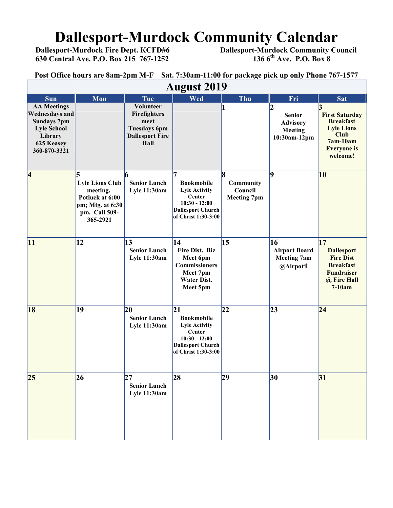# **Dallesport-Murdock Community Calendar**<br>Dallesport-Murdock Fire Dept. KCFD#6 Dallesport-Murdock Community Co

 **630 Central Ave. P.O. Box 215 767-1252 136 6th Ave. P.O. Box 8** 

 **Dallesport-Murdock Community Council 136 6<sup>th</sup> Ave. P.O. Box 8** 

**Post Office hours are 8am-2pm M-F Sat. 7:30am-11:00 for package pick up only Phone 767-1577** 

| <b>August 2019</b>                                                                                                               |                                                                                                             |                                                                                            |                                                                                                                                 |                                                 |                                                                  |                                                                                                                                    |  |  |  |
|----------------------------------------------------------------------------------------------------------------------------------|-------------------------------------------------------------------------------------------------------------|--------------------------------------------------------------------------------------------|---------------------------------------------------------------------------------------------------------------------------------|-------------------------------------------------|------------------------------------------------------------------|------------------------------------------------------------------------------------------------------------------------------------|--|--|--|
| <b>Sun</b>                                                                                                                       | Mon                                                                                                         | Tue                                                                                        | Wed                                                                                                                             | Thu                                             | Fri                                                              | <b>Sat</b>                                                                                                                         |  |  |  |
| <b>AA Meetings</b><br><b>Wednesdays and</b><br><b>Sundays 7pm</b><br><b>Lyle School</b><br>Library<br>625 Keasey<br>360-870-3321 |                                                                                                             | Volunteer<br>Firefighters<br>meet<br><b>Tuesdays 6pm</b><br><b>Dallesport Fire</b><br>Hall |                                                                                                                                 | 1                                               | 2<br><b>Senior</b><br><b>Advisory</b><br>Meeting<br>10:30am-12pm | 3<br><b>First Saturday</b><br><b>Breakfast</b><br><b>Lyle Lions</b><br><b>Club</b><br>$7am-10am$<br><b>Everyone</b> is<br>welcome! |  |  |  |
| $\vert 4$                                                                                                                        | 5<br><b>Lyle Lions Club</b><br>meeting.<br>Potluck at 6:00<br>pm; Mtg. at 6:30<br>pm. Call 509-<br>365-2921 | 6<br><b>Senior Lunch</b><br>Lyle 11:30am                                                   | 7<br><b>Bookmobile</b><br><b>Lyle Activity</b><br>Center<br>$10:30 - 12:00$<br><b>Dallesport Church</b><br>of Christ 1:30-3:00  | 8<br>Community<br>Council<br><b>Meeting 7pm</b> | $\vert$ 9                                                        | 10                                                                                                                                 |  |  |  |
| 11                                                                                                                               | 12                                                                                                          | 13<br><b>Senior Lunch</b><br>Lyle 11:30am                                                  | 14<br>Fire Dist. Biz<br>Meet 6pm<br><b>Commissioners</b><br>Meet 7pm<br><b>Water Dist.</b><br>Meet 5pm                          | 15                                              | 16<br><b>Airport Board</b><br><b>Meeting 7am</b><br>@Airport     | $\overline{17}$<br><b>Dallesport</b><br><b>Fire Dist</b><br><b>Breakfast</b><br><b>Fundraiser</b><br>@ Fire Hall<br>$7-10am$       |  |  |  |
| <b>18</b>                                                                                                                        | 19                                                                                                          | 20<br><b>Senior Lunch</b><br>Lyle 11:30am                                                  | 21<br><b>Bookmobile</b><br><b>Lyle Activity</b><br>Center<br>$10:30 - 12:00$<br><b>Dallesport Church</b><br>of Christ 1:30-3:00 | 22                                              | 23                                                               | $\overline{24}$                                                                                                                    |  |  |  |
| $ 25\rangle$                                                                                                                     | 26                                                                                                          | 27<br><b>Senior Lunch</b><br>Lyle 11:30am                                                  | 28                                                                                                                              | 29                                              | 30                                                               | 31                                                                                                                                 |  |  |  |